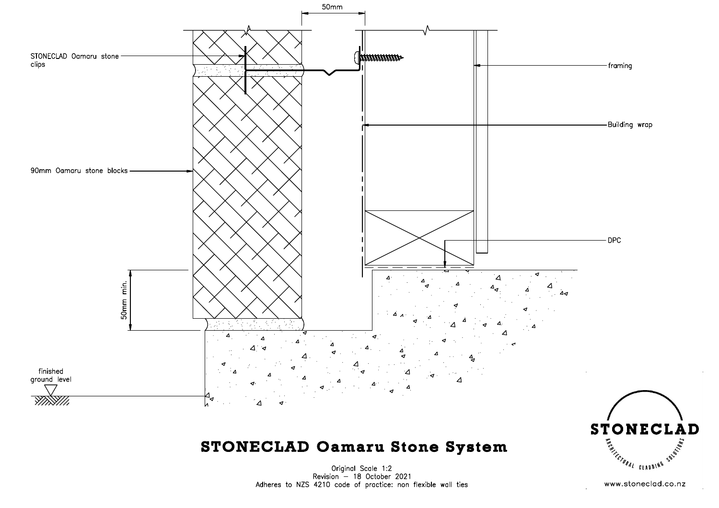

## **STONECLAD Oamaru Stone System**

Original Scale 1:2<br>Revision - 18 October 2021 Adheres to NZS 4210 code of practice: non flexible wall ties

www.stoneclad.co.nz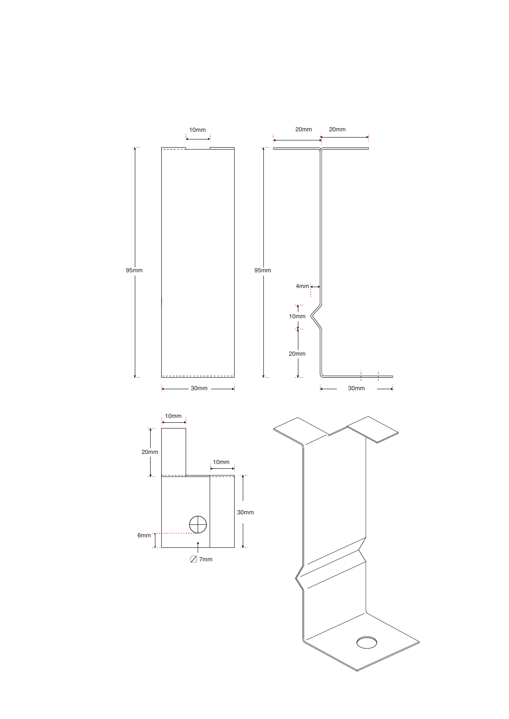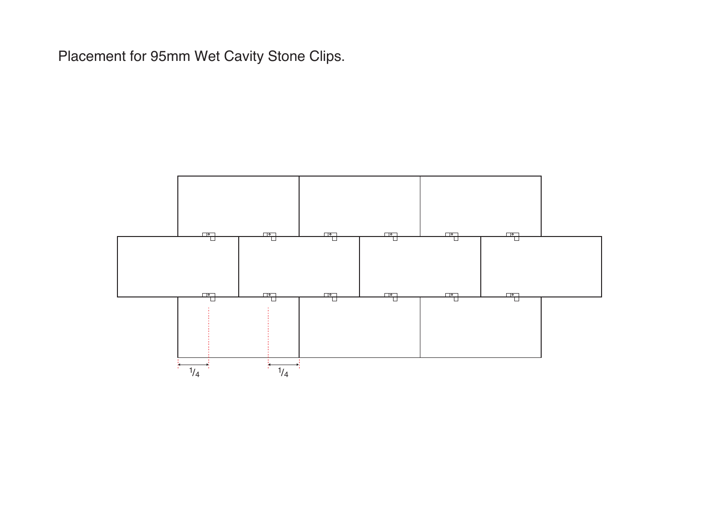Placement for 95mm Wet Cavity Stone Clips.